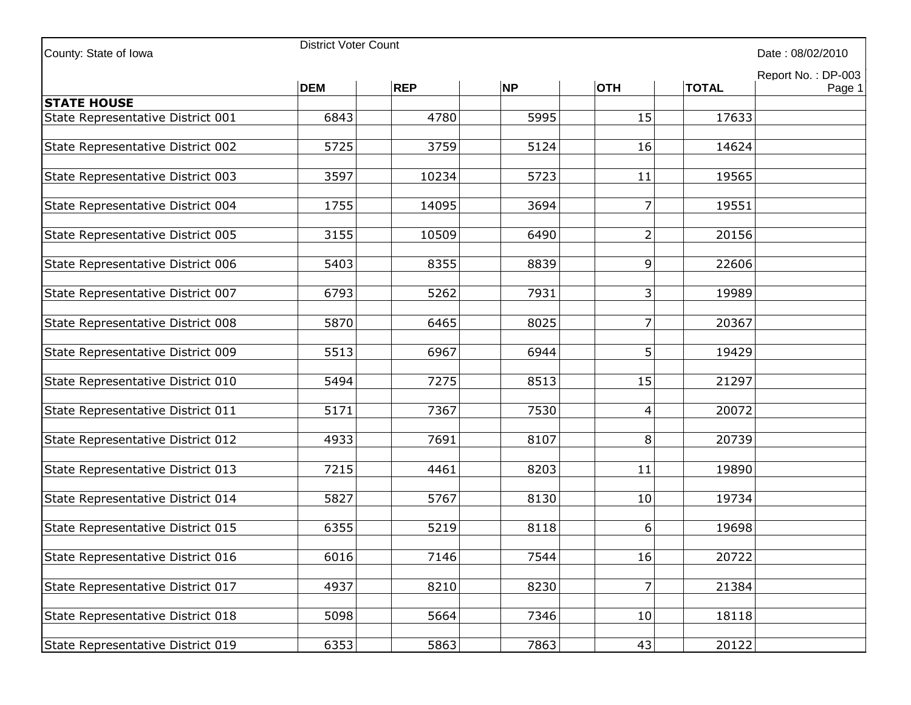| County: State of Iowa             | <b>District Voter Count</b><br>Date: 08/02/2010 |            |           |                 |                                              |  |  |
|-----------------------------------|-------------------------------------------------|------------|-----------|-----------------|----------------------------------------------|--|--|
|                                   | <b>DEM</b>                                      | <b>REP</b> | <b>NP</b> | <b>OTH</b>      | Report No.: DP-003<br><b>TOTAL</b><br>Page 1 |  |  |
| <b>STATE HOUSE</b>                |                                                 |            |           |                 |                                              |  |  |
| State Representative District 001 | 6843                                            | 4780       | 5995      | 15              | 17633                                        |  |  |
| State Representative District 002 | 5725                                            | 3759       | 5124      | 16              | 14624                                        |  |  |
| State Representative District 003 | 3597                                            | 10234      | 5723      | 11              | 19565                                        |  |  |
| State Representative District 004 | 1755                                            | 14095      | 3694      | 7               | 19551                                        |  |  |
| State Representative District 005 | 3155                                            | 10509      | 6490      | $\overline{2}$  | 20156                                        |  |  |
| State Representative District 006 | 5403                                            | 8355       | 8839      | $\vert 9 \vert$ | 22606                                        |  |  |
| State Representative District 007 | 6793                                            | 5262       | 7931      | $\overline{3}$  | 19989                                        |  |  |
| State Representative District 008 | 5870                                            | 6465       | 8025      | $\overline{7}$  | 20367                                        |  |  |
| State Representative District 009 | 5513                                            | 6967       | 6944      | 5 <sup>1</sup>  | 19429                                        |  |  |
| State Representative District 010 | 5494                                            | 7275       | 8513      | 15              | 21297                                        |  |  |
| State Representative District 011 | 5171                                            | 7367       | 7530      | $\overline{4}$  | 20072                                        |  |  |
| State Representative District 012 | 4933                                            | 7691       | 8107      | 8 <sup>1</sup>  | 20739                                        |  |  |
| State Representative District 013 | 7215                                            | 4461       | 8203      | 11              | 19890                                        |  |  |
| State Representative District 014 | 5827                                            | 5767       | 8130      | 10              | 19734                                        |  |  |
| State Representative District 015 | 6355                                            | 5219       | 8118      | $6 \mid$        | 19698                                        |  |  |
| State Representative District 016 | 6016                                            | 7146       | 7544      | 16              | 20722                                        |  |  |
| State Representative District 017 | 4937                                            | 8210       | 8230      | 7               | 21384                                        |  |  |
| State Representative District 018 | 5098                                            | 5664       | 7346      | 10              | 18118                                        |  |  |
| State Representative District 019 | 6353                                            | 5863       | 7863      | 43              | 20122                                        |  |  |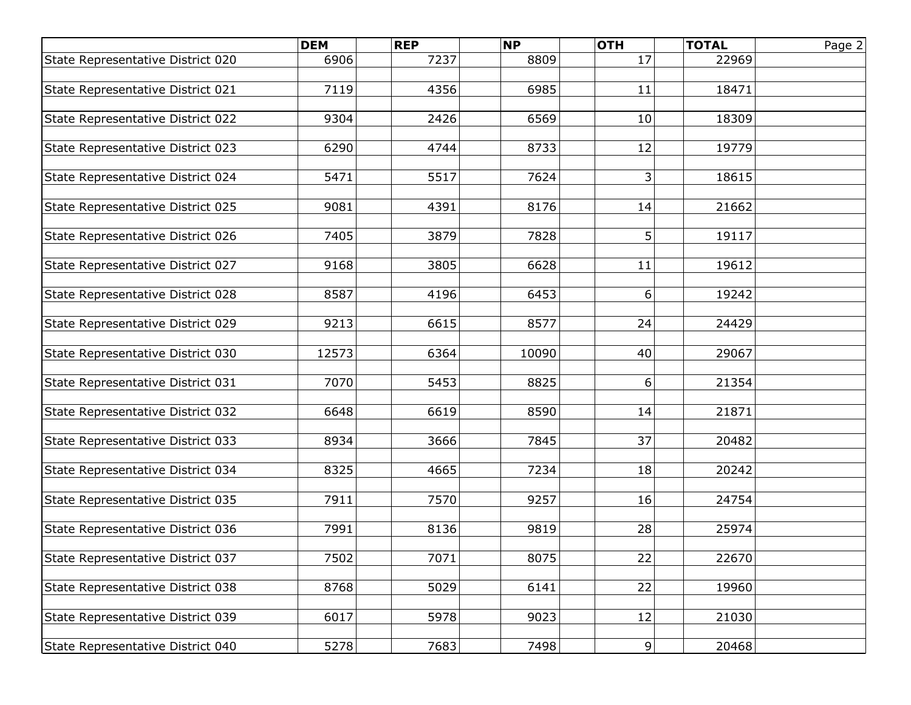|                                   | <b>DEM</b> | <b>REP</b> | <b>NP</b> | <b>OTH</b>     | <b>TOTAL</b> | Page 2 |
|-----------------------------------|------------|------------|-----------|----------------|--------------|--------|
| State Representative District 020 | 6906       | 7237       | 8809      | 17             | 22969        |        |
|                                   |            |            |           |                |              |        |
| State Representative District 021 | 7119       | 4356       | 6985      | 11             | 18471        |        |
|                                   |            |            |           |                |              |        |
| State Representative District 022 | 9304       | 2426       | 6569      | 10             | 18309        |        |
| State Representative District 023 | 6290       | 4744       | 8733      | 12             | 19779        |        |
|                                   |            |            |           |                |              |        |
| State Representative District 024 | 5471       | 5517       | 7624      | $\overline{3}$ | 18615        |        |
|                                   |            |            |           |                |              |        |
| State Representative District 025 | 9081       | 4391       | 8176      | 14             | 21662        |        |
|                                   |            |            |           |                |              |        |
| State Representative District 026 | 7405       | 3879       | 7828      | 5              | 19117        |        |
|                                   |            | 3805       |           |                |              |        |
| State Representative District 027 | 9168       |            | 6628      | 11             | 19612        |        |
| State Representative District 028 | 8587       | 4196       | 6453      | 6              | 19242        |        |
|                                   |            |            |           |                |              |        |
| State Representative District 029 | 9213       | 6615       | 8577      | 24             | 24429        |        |
|                                   |            |            |           |                |              |        |
| State Representative District 030 | 12573      | 6364       | 10090     | 40             | 29067        |        |
|                                   |            |            |           |                |              |        |
| State Representative District 031 | 7070       | 5453       | 8825      | 6              | 21354        |        |
|                                   |            |            |           |                |              |        |
| State Representative District 032 | 6648       | 6619       | 8590      | 14             | 21871        |        |
| State Representative District 033 | 8934       | 3666       | 7845      | 37             | 20482        |        |
|                                   |            |            |           |                |              |        |
| State Representative District 034 | 8325       | 4665       | 7234      | 18             | 20242        |        |
|                                   |            |            |           |                |              |        |
| State Representative District 035 | 7911       | 7570       | 9257      | 16             | 24754        |        |
|                                   |            |            |           |                |              |        |
| State Representative District 036 | 7991       | 8136       | 9819      | 28             | 25974        |        |
|                                   |            | 7071       |           |                | 22670        |        |
| State Representative District 037 | 7502       |            | 8075      | 22             |              |        |
| State Representative District 038 | 8768       | 5029       | 6141      | 22             | 19960        |        |
|                                   |            |            |           |                |              |        |
| State Representative District 039 | 6017       | 5978       | 9023      | 12             | 21030        |        |
|                                   |            |            |           |                |              |        |
| State Representative District 040 | 5278       | 7683       | 7498      | $\overline{9}$ | 20468        |        |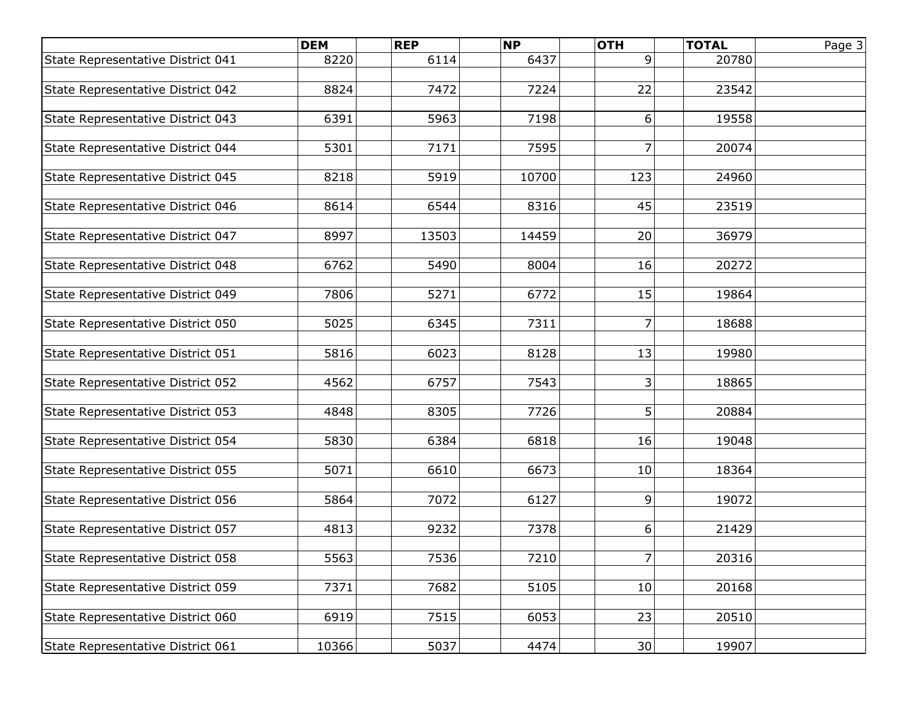|                                   | <b>DEM</b> | <b>REP</b> | <b>NP</b> | <b>OTH</b>     | <b>TOTAL</b> | Page 3 |
|-----------------------------------|------------|------------|-----------|----------------|--------------|--------|
| State Representative District 041 | 8220       | 6114       | 6437      | 9              | 20780        |        |
|                                   |            |            |           |                |              |        |
| State Representative District 042 | 8824       | 7472       | 7224      | 22             | 23542        |        |
|                                   |            |            |           |                |              |        |
| State Representative District 043 | 6391       | 5963       | 7198      | 6              | 19558        |        |
| State Representative District 044 | 5301       | 7171       | 7595      | $\overline{7}$ | 20074        |        |
|                                   |            |            |           |                |              |        |
| State Representative District 045 | 8218       | 5919       | 10700     | 123            | 24960        |        |
|                                   |            |            |           |                |              |        |
| State Representative District 046 | 8614       | 6544       | 8316      | 45             | 23519        |        |
|                                   |            |            |           |                |              |        |
| State Representative District 047 | 8997       | 13503      | 14459     | 20             | 36979        |        |
|                                   |            |            |           |                |              |        |
| State Representative District 048 | 6762       | 5490       | 8004      | 16             | 20272        |        |
| State Representative District 049 | 7806       | 5271       | 6772      | 15             | 19864        |        |
|                                   |            |            |           |                |              |        |
| State Representative District 050 | 5025       | 6345       | 7311      | 7              | 18688        |        |
|                                   |            |            |           |                |              |        |
| State Representative District 051 | 5816       | 6023       | 8128      | 13             | 19980        |        |
|                                   |            |            |           |                |              |        |
| State Representative District 052 | 4562       | 6757       | 7543      | 3              | 18865        |        |
|                                   |            |            |           |                |              |        |
| State Representative District 053 | 4848       | 8305       | 7726      | 5              | 20884        |        |
| State Representative District 054 | 5830       | 6384       | 6818      | 16             | 19048        |        |
|                                   |            |            |           |                |              |        |
| State Representative District 055 | 5071       | 6610       | 6673      | 10             | 18364        |        |
|                                   |            |            |           |                |              |        |
| State Representative District 056 | 5864       | 7072       | 6127      | 9              | 19072        |        |
|                                   |            |            |           |                |              |        |
| State Representative District 057 | 4813       | 9232       | 7378      | 6              | 21429        |        |
|                                   |            |            |           |                |              |        |
| State Representative District 058 | 5563       | 7536       | 7210      | 7              | 20316        |        |
| State Representative District 059 | 7371       | 7682       | 5105      | 10             | 20168        |        |
|                                   |            |            |           |                |              |        |
| State Representative District 060 | 6919       | 7515       | 6053      | 23             | 20510        |        |
|                                   |            |            |           |                |              |        |
| State Representative District 061 | 10366      | 5037       | 4474      | 30             | 19907        |        |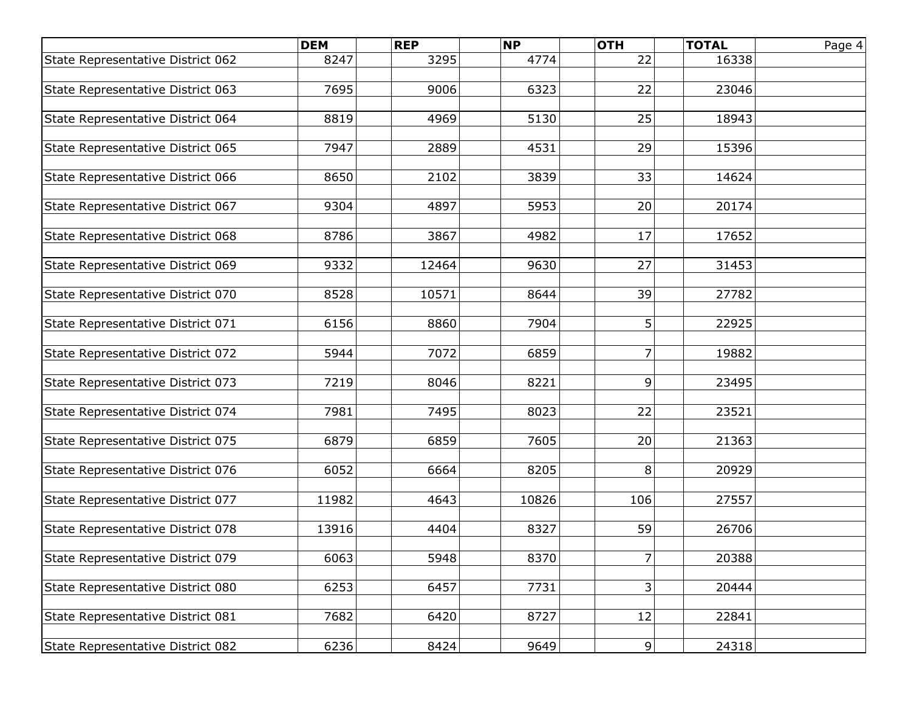|                                   | <b>DEM</b> | <b>REP</b> | <b>NP</b> | <b>OTH</b>     | <b>TOTAL</b> | Page 4 |
|-----------------------------------|------------|------------|-----------|----------------|--------------|--------|
| State Representative District 062 | 8247       | 3295       | 4774      | 22             | 16338        |        |
|                                   |            |            |           |                |              |        |
| State Representative District 063 | 7695       | 9006       | 6323      | 22             | 23046        |        |
|                                   |            |            |           |                |              |        |
| State Representative District 064 | 8819       | 4969       | 5130      | 25             | 18943        |        |
| State Representative District 065 | 7947       | 2889       | 4531      | 29             | 15396        |        |
|                                   |            |            |           |                |              |        |
| State Representative District 066 | 8650       | 2102       | 3839      | 33             | 14624        |        |
|                                   |            |            |           |                |              |        |
| State Representative District 067 | 9304       | 4897       | 5953      | 20             | 20174        |        |
|                                   |            |            |           |                |              |        |
| State Representative District 068 | 8786       | 3867       | 4982      | 17             | 17652        |        |
|                                   |            |            |           |                |              |        |
| State Representative District 069 | 9332       | 12464      | 9630      | 27             | 31453        |        |
| State Representative District 070 | 8528       | 10571      | 8644      | 39             | 27782        |        |
|                                   |            |            |           |                |              |        |
| State Representative District 071 | 6156       | 8860       | 7904      | 5              | 22925        |        |
|                                   |            |            |           |                |              |        |
| State Representative District 072 | 5944       | 7072       | 6859      | $\overline{7}$ | 19882        |        |
|                                   |            |            |           |                |              |        |
| State Representative District 073 | 7219       | 8046       | 8221      | 9              | 23495        |        |
|                                   |            |            |           |                |              |        |
| State Representative District 074 | 7981       | 7495       | 8023      | 22             | 23521        |        |
|                                   | 6879       | 6859       | 7605      | 20             | 21363        |        |
| State Representative District 075 |            |            |           |                |              |        |
| State Representative District 076 | 6052       | 6664       | 8205      | 8              | 20929        |        |
|                                   |            |            |           |                |              |        |
| State Representative District 077 | 11982      | 4643       | 10826     | 106            | 27557        |        |
|                                   |            |            |           |                |              |        |
| State Representative District 078 | 13916      | 4404       | 8327      | 59             | 26706        |        |
|                                   |            |            |           |                |              |        |
| State Representative District 079 | 6063       | 5948       | 8370      | $\overline{7}$ | 20388        |        |
|                                   |            |            |           |                |              |        |
| State Representative District 080 | 6253       | 6457       | 7731      | 3 <sup>1</sup> | 20444        |        |
| State Representative District 081 | 7682       | 6420       | 8727      | 12             | 22841        |        |
|                                   |            |            |           |                |              |        |
| State Representative District 082 | 6236       | 8424       | 9649      | 9 <sup>1</sup> | 24318        |        |